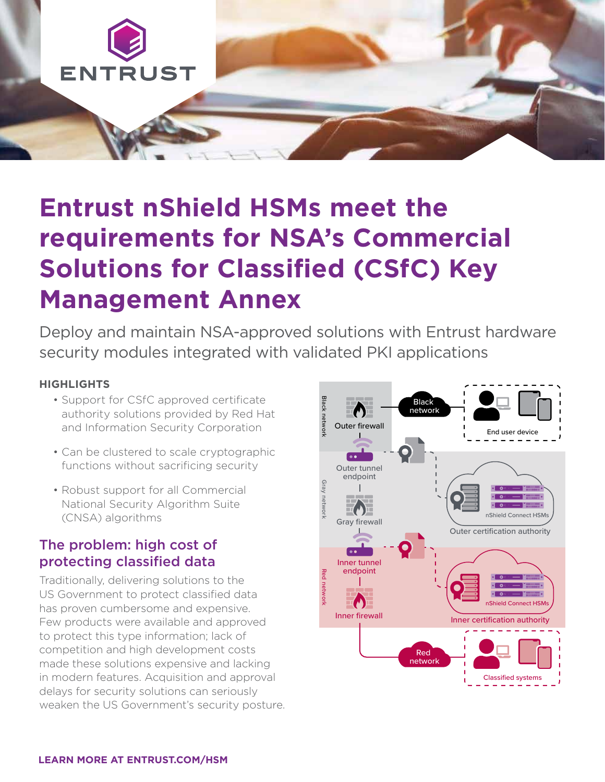

# **Entrust nShield HSMs meet the requirements for NSA's Commercial Solutions for Classified (CSfC) Key Management Annex**

Deploy and maintain NSA-approved solutions with Entrust hardware security modules integrated with validated PKI applications

#### **HIGHLIGHTS**

- Support for CSfC approved certificate authority solutions provided by Red Hat and Information Security Corporation
- Can be clustered to scale cryptographic functions without sacrificing security
- Robust support for all Commercial National Security Algorithm Suite (CNSA) algorithms

### The problem: high cost of protecting classified data

Traditionally, delivering solutions to the US Government to protect classified data has proven cumbersome and expensive. Few products were available and approved to protect this type information; lack of competition and high development costs made these solutions expensive and lacking in modern features. Acquisition and approval delays for security solutions can seriously weaken the US Government's security posture.

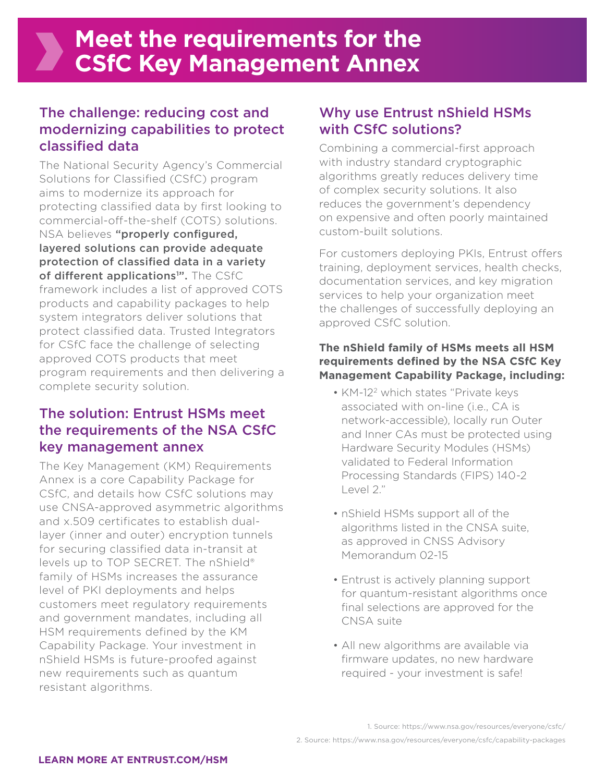## The challenge: reducing cost and modernizing capabilities to protect classified data

The National Security Agency's Commercial Solutions for Classified (CSfC) program aims to modernize its approach for protecting classified data by first looking to commercial-off-the-shelf (COTS) solutions. NSA believes "properly configured, layered solutions can provide adequate protection of classified data in a variety of different applications<sup>1</sup>". The CSfC framework includes a list of approved COTS products and capability packages to help system integrators deliver solutions that protect classified data. Trusted Integrators for CSfC face the challenge of selecting approved COTS products that meet program requirements and then delivering a complete security solution.

### The solution: Entrust HSMs meet the requirements of the NSA CSfC key management annex

The Key Management (KM) Requirements Annex is a core Capability Package for CSfC, and details how CSfC solutions may use CNSA-approved asymmetric algorithms and x.509 certificates to establish duallayer (inner and outer) encryption tunnels for securing classified data in-transit at levels up to TOP SECRET. The nShield® family of HSMs increases the assurance level of PKI deployments and helps customers meet regulatory requirements and government mandates, including all HSM requirements defined by the KM Capability Package. Your investment in nShield HSMs is future-proofed against new requirements such as quantum resistant algorithms.

### Why use Entrust nShield HSMs with CSfC solutions?

Combining a commercial-first approach with industry standard cryptographic algorithms greatly reduces delivery time of complex security solutions. It also reduces the government's dependency on expensive and often poorly maintained custom-built solutions.

For customers deploying PKIs, Entrust offers training, deployment services, health checks, documentation services, and key migration services to help your organization meet the challenges of successfully deploying an approved CSfC solution.

### **The nShield family of HSMs meets all HSM requirements defined by the NSA CSfC Key Management Capability Package, including:**

- KM-12<sup>2</sup> which states "Private keys associated with on-line (i.e., CA is network-accessible), locally run Outer and Inner CAs must be protected using Hardware Security Modules (HSMs) validated to Federal Information Processing Standards (FIPS) 140-2 Level 2."
- nShield HSMs support all of the algorithms listed in the CNSA suite, as approved in CNSS Advisory Memorandum 02-15
- Entrust is actively planning support for quantum-resistant algorithms once final selections are approved for the CNSA suite
- All new algorithms are available via firmware updates, no new hardware required - your investment is safe!

<sup>1.</sup> Source: https://www.nsa.gov/resources/everyone/csfc/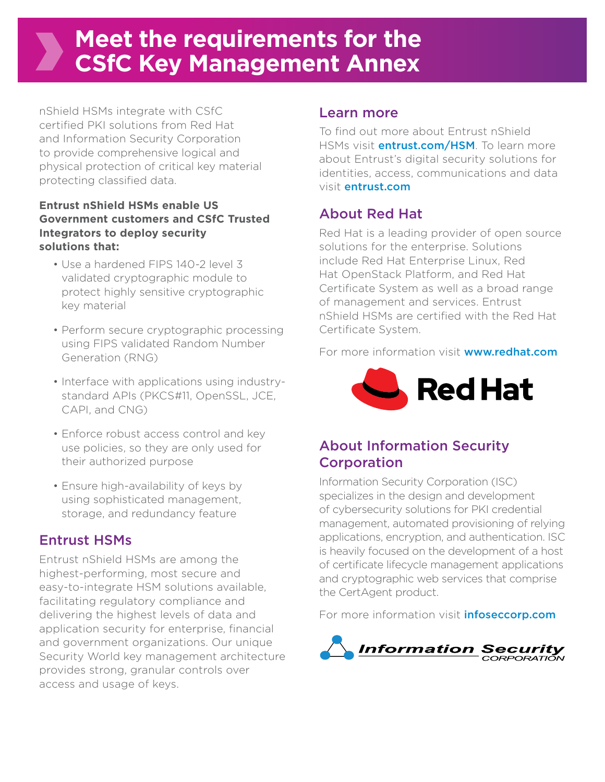## **Meet the requirements for the CSfC Key Management Annex**

nShield HSMs integrate with CSfC certified PKI solutions from Red Hat and Information Security Corporation to provide comprehensive logical and physical protection of critical key material protecting classified data.

### **Entrust nShield HSMs enable US Government customers and CSfC Trusted Integrators to deploy security solutions that:**

- Use a hardened FIPS 140-2 level 3 validated cryptographic module to protect highly sensitive cryptographic key material
- Perform secure cryptographic processing using FIPS validated Random Number Generation (RNG)
- Interface with applications using industrystandard APIs (PKCS#11, OpenSSL, JCE, CAPI, and CNG)
- Enforce robust access control and key use policies, so they are only used for their authorized purpose
- Ensure high-availability of keys by using sophisticated management, storage, and redundancy feature

## Entrust HSMs

Entrust nShield HSMs are among the highest-performing, most secure and easy-to-integrate HSM solutions available, facilitating regulatory compliance and delivering the highest levels of data and application security for enterprise, financial and government organizations. Our unique Security World key management architecture provides strong, granular controls over access and usage of keys.

### Learn more

To find out more about Entrust nShield HSMs visit **entrust.com/HSM**. To learn more about Entrust's digital security solutions for identities, access, communications and data visit entrust.com

## About Red Hat

Red Hat is a leading provider of open source solutions for the enterprise. Solutions include Red Hat Enterprise Linux, Red Hat OpenStack Platform, and Red Hat Certificate System as well as a broad range of management and services. Entrust nShield HSMs are certified with the Red Hat Certificate System.

For more information visit **[www.redhat.com](https://www.redhat.com/en)** 



### About Information Security **Corporation**

Information Security Corporation (ISC) specializes in the design and development of cybersecurity solutions for PKI credential management, automated provisioning of relying applications, encryption, and authentication. ISC is heavily focused on the development of a host of certificate lifecycle management applications and cryptographic web services that comprise the CertAgent product.

For more information visit **[infoseccorp.com](https://infoseccorp.com/)**